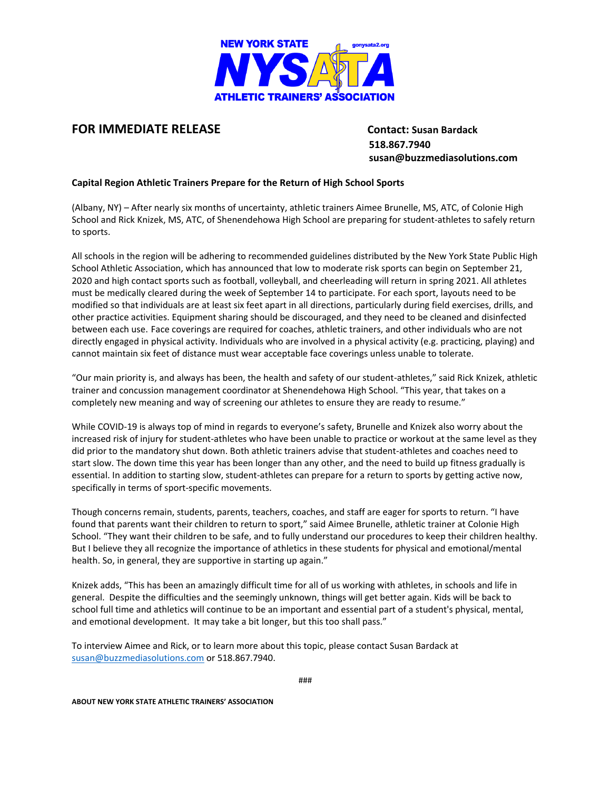

## **FOR IMMEDIATE RELEASE Contact: Susan Bardack**

 **518.867.7940 susan@buzzmediasolutions.com**

## **Capital Region Athletic Trainers Prepare for the Return of High School Sports**

(Albany, NY) – After nearly six months of uncertainty, athletic trainers Aimee Brunelle, MS, ATC, of Colonie High School and Rick Knizek, MS, ATC, of Shenendehowa High School are preparing for student-athletes to safely return to sports.

All schools in the region will be adhering to recommended guidelines distributed by the New York State Public High School Athletic Association, which has announced that low to moderate risk sports can begin on September 21, 2020 and high contact sports such as football, volleyball, and cheerleading will return in spring 2021. All athletes must be medically cleared during the week of September 14 to participate. For each sport, layouts need to be modified so that individuals are at least six feet apart in all directions, particularly during field exercises, drills, and other practice activities. Equipment sharing should be discouraged, and they need to be cleaned and disinfected between each use. Face coverings are required for coaches, athletic trainers, and other individuals who are not directly engaged in physical activity. Individuals who are involved in a physical activity (e.g. practicing, playing) and cannot maintain six feet of distance must wear acceptable face coverings unless unable to tolerate.

"Our main priority is, and always has been, the health and safety of our student-athletes," said Rick Knizek, athletic trainer and concussion management coordinator at Shenendehowa High School. "This year, that takes on a completely new meaning and way of screening our athletes to ensure they are ready to resume."

While COVID-19 is always top of mind in regards to everyone's safety, Brunelle and Knizek also worry about the increased risk of injury for student-athletes who have been unable to practice or workout at the same level as they did prior to the mandatory shut down. Both athletic trainers advise that student-athletes and coaches need to start slow. The down time this year has been longer than any other, and the need to build up fitness gradually is essential. In addition to starting slow, student-athletes can prepare for a return to sports by getting active now, specifically in terms of sport-specific movements.

Though concerns remain, students, parents, teachers, coaches, and staff are eager for sports to return. "I have found that parents want their children to return to sport," said Aimee Brunelle, athletic trainer at Colonie High School. "They want their children to be safe, and to fully understand our procedures to keep their children healthy. But I believe they all recognize the importance of athletics in these students for physical and emotional/mental health. So, in general, they are supportive in starting up again."

Knizek adds, "This has been an amazingly difficult time for all of us working with athletes, in schools and life in general. Despite the difficulties and the seemingly unknown, things will get better again. Kids will be back to school full time and athletics will continue to be an important and essential part of a student's physical, mental, and emotional development. It may take a bit longer, but this too shall pass."

To interview Aimee and Rick, or to learn more about this topic, please contact Susan Bardack at [susan@buzzmediasolutions.com](mailto:susan@buzzmediasolutions.com) or 518.867.7940.

###

**ABOUT NEW YORK STATE ATHLETIC TRAINERS' ASSOCIATION**